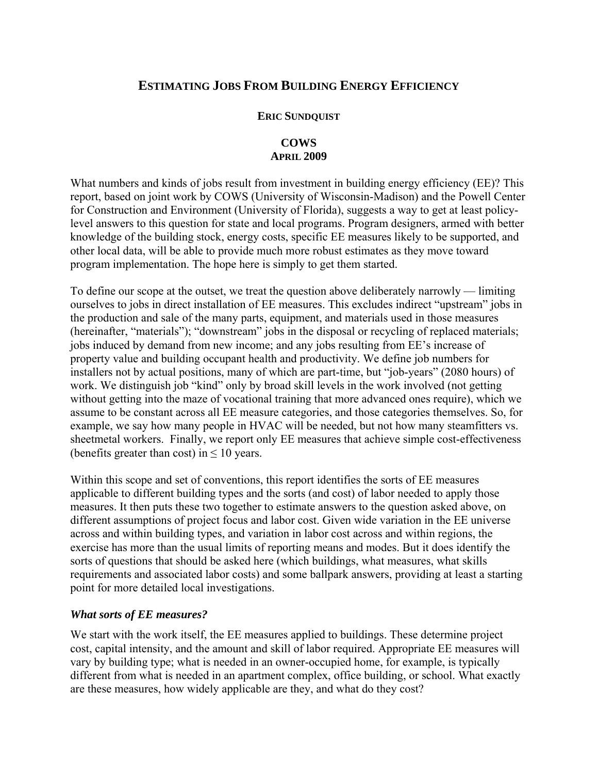# **ESTIMATING JOBS FROM BUILDING ENERGY EFFICIENCY**

### **ERIC SUNDQUIST**

## **COWS APRIL 2009**

What numbers and kinds of jobs result from investment in building energy efficiency (EE)? This report, based on joint work by COWS (University of Wisconsin-Madison) and the Powell Center for Construction and Environment (University of Florida), suggests a way to get at least policylevel answers to this question for state and local programs. Program designers, armed with better knowledge of the building stock, energy costs, specific EE measures likely to be supported, and other local data, will be able to provide much more robust estimates as they move toward program implementation. The hope here is simply to get them started.

To define our scope at the outset, we treat the question above deliberately narrowly — limiting ourselves to jobs in direct installation of EE measures. This excludes indirect "upstream" jobs in the production and sale of the many parts, equipment, and materials used in those measures (hereinafter, "materials"); "downstream" jobs in the disposal or recycling of replaced materials; jobs induced by demand from new income; and any jobs resulting from EE's increase of property value and building occupant health and productivity. We define job numbers for installers not by actual positions, many of which are part-time, but "job-years" (2080 hours) of work. We distinguish job "kind" only by broad skill levels in the work involved (not getting without getting into the maze of vocational training that more advanced ones require), which we assume to be constant across all EE measure categories, and those categories themselves. So, for example, we say how many people in HVAC will be needed, but not how many steamfitters vs. sheetmetal workers. Finally, we report only EE measures that achieve simple cost-effectiveness (benefits greater than cost) in  $\leq 10$  years.

Within this scope and set of conventions, this report identifies the sorts of EE measures applicable to different building types and the sorts (and cost) of labor needed to apply those measures. It then puts these two together to estimate answers to the question asked above, on different assumptions of project focus and labor cost. Given wide variation in the EE universe across and within building types, and variation in labor cost across and within regions, the exercise has more than the usual limits of reporting means and modes. But it does identify the sorts of questions that should be asked here (which buildings, what measures, what skills requirements and associated labor costs) and some ballpark answers, providing at least a starting point for more detailed local investigations.

## *What sorts of EE measures?*

We start with the work itself, the EE measures applied to buildings. These determine project cost, capital intensity, and the amount and skill of labor required. Appropriate EE measures will vary by building type; what is needed in an owner-occupied home, for example, is typically different from what is needed in an apartment complex, office building, or school. What exactly are these measures, how widely applicable are they, and what do they cost?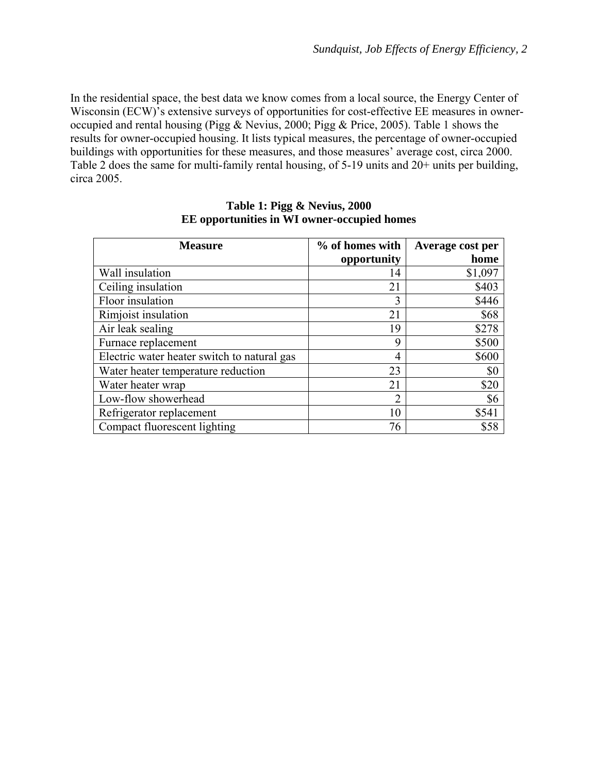In the residential space, the best data we know comes from a local source, the Energy Center of Wisconsin (ECW)'s extensive surveys of opportunities for cost-effective EE measures in owneroccupied and rental housing (Pigg & Nevius, 2000; Pigg & Price, 2005). Table 1 shows the results for owner-occupied housing. It lists typical measures, the percentage of owner-occupied buildings with opportunities for these measures, and those measures' average cost, circa 2000. Table 2 does the same for multi-family rental housing, of 5-19 units and 20+ units per building, circa 2005.

| <b>Measure</b>                              | % of homes with | Average cost per |
|---------------------------------------------|-----------------|------------------|
|                                             | opportunity     | home             |
| Wall insulation                             | 14              | \$1,097          |
| Ceiling insulation                          | 21              | \$403            |
| Floor insulation                            | 3               | \$446            |
| Rimjoist insulation                         | 21              | \$68             |
| Air leak sealing                            | 19              | \$278            |
| Furnace replacement                         | 9               | \$500            |
| Electric water heater switch to natural gas | 4               | \$600            |
| Water heater temperature reduction          | 23              | \$0              |
| Water heater wrap                           | 21              | \$20             |
| Low-flow showerhead                         | ി               | \$6              |
| Refrigerator replacement                    | 10              | \$541            |
| Compact fluorescent lighting                | 76              | \$58             |

### **Table 1: Pigg & Nevius, 2000 EE opportunities in WI owner-occupied homes**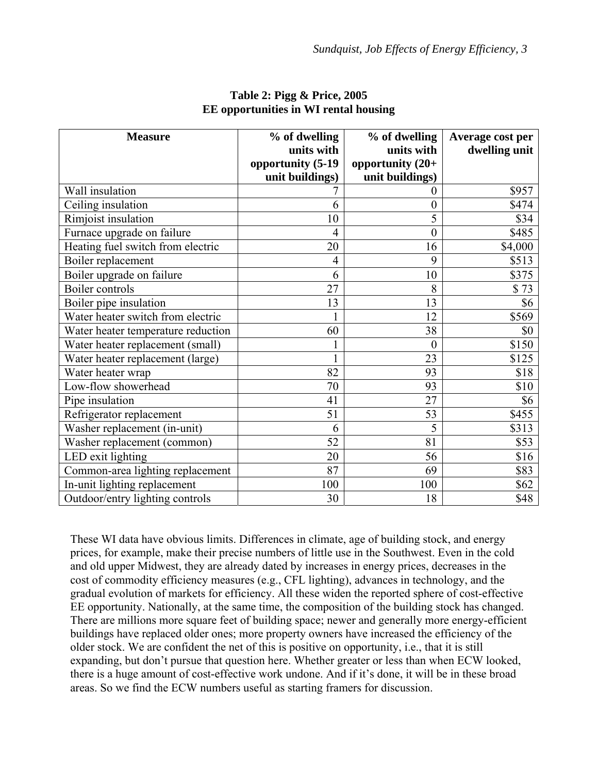| <b>Measure</b>                     | % of dwelling     | % of dwelling       | Average cost per |
|------------------------------------|-------------------|---------------------|------------------|
|                                    | units with        | units with          | dwelling unit    |
|                                    | opportunity (5-19 | opportunity $(20+)$ |                  |
|                                    | unit buildings)   | unit buildings)     |                  |
| Wall insulation                    |                   | $\overline{0}$      | \$957            |
| Ceiling insulation                 | 6                 | $\overline{0}$      | \$474            |
| Rimjoist insulation                | 10                | 5                   | \$34             |
| Furnace upgrade on failure         | 4                 | $\boldsymbol{0}$    | \$485            |
| Heating fuel switch from electric  | 20                | 16                  | \$4,000          |
| Boiler replacement                 | 4                 | 9                   | \$513            |
| Boiler upgrade on failure          | 6                 | 10                  | \$375            |
| Boiler controls                    | 27                | 8                   | \$73             |
| Boiler pipe insulation             | 13                | 13                  | \$6              |
| Water heater switch from electric  |                   | 12                  | \$569            |
| Water heater temperature reduction | 60                | 38                  | \$0              |
| Water heater replacement (small)   |                   | $\overline{0}$      | \$150            |
| Water heater replacement (large)   |                   | 23                  | \$125            |
| Water heater wrap                  | 82                | 93                  | \$18             |
| Low-flow showerhead                | 70                | 93                  | \$10             |
| Pipe insulation                    | 41                | 27                  | \$6              |
| Refrigerator replacement           | 51                | 53                  | \$455            |
| Washer replacement (in-unit)       | 6                 | 5                   | \$313            |
| Washer replacement (common)        | 52                | 81                  | \$53             |
| LED exit lighting                  | 20                | 56                  | \$16             |
| Common-area lighting replacement   | 87                | 69                  | \$83             |
| In-unit lighting replacement       | 100               | 100                 | \$62             |
| Outdoor/entry lighting controls    | 30                | 18                  | \$48             |

#### **Table 2: Pigg & Price, 2005 EE opportunities in WI rental housing**

These WI data have obvious limits. Differences in climate, age of building stock, and energy prices, for example, make their precise numbers of little use in the Southwest. Even in the cold and old upper Midwest, they are already dated by increases in energy prices, decreases in the cost of commodity efficiency measures (e.g., CFL lighting), advances in technology, and the gradual evolution of markets for efficiency. All these widen the reported sphere of cost-effective EE opportunity. Nationally, at the same time, the composition of the building stock has changed. There are millions more square feet of building space; newer and generally more energy-efficient buildings have replaced older ones; more property owners have increased the efficiency of the older stock. We are confident the net of this is positive on opportunity, i.e., that it is still expanding, but don't pursue that question here. Whether greater or less than when ECW looked, there is a huge amount of cost-effective work undone. And if it's done, it will be in these broad areas. So we find the ECW numbers useful as starting framers for discussion.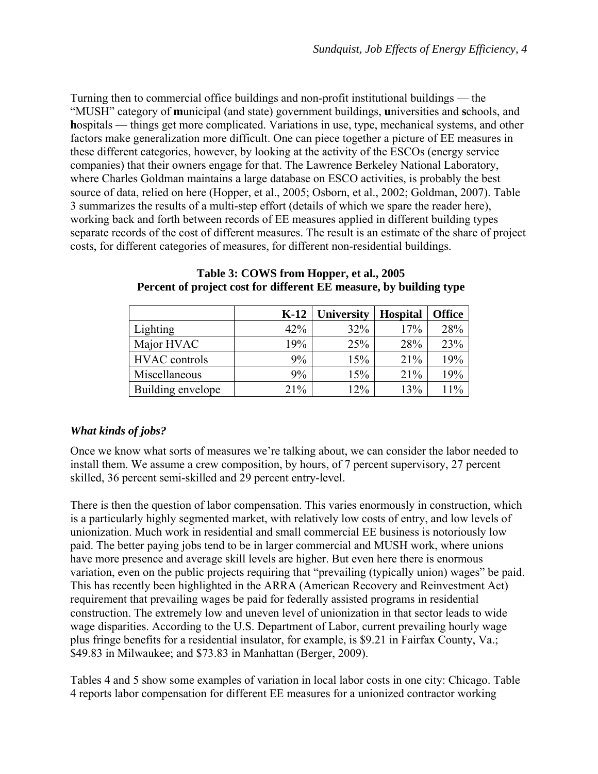Turning then to commercial office buildings and non-profit institutional buildings — the "MUSH" category of **m**unicipal (and state) government buildings, **u**niversities and **s**chools, and **h**ospitals — things get more complicated. Variations in use, type, mechanical systems, and other factors make generalization more difficult. One can piece together a picture of EE measures in these different categories, however, by looking at the activity of the ESCOs (energy service companies) that their owners engage for that. The Lawrence Berkeley National Laboratory, where Charles Goldman maintains a large database on ESCO activities, is probably the best source of data, relied on here (Hopper, et al., 2005; Osborn, et al., 2002; Goldman, 2007). Table 3 summarizes the results of a multi-step effort (details of which we spare the reader here), working back and forth between records of EE measures applied in different building types separate records of the cost of different measures. The result is an estimate of the share of project costs, for different categories of measures, for different non-residential buildings.

|                      | $K-12$ | <b>University</b> | <b>Hospital</b> | <b>Office</b> |
|----------------------|--------|-------------------|-----------------|---------------|
| Lighting             | 42%    | 32%               | 17%             | 28%           |
| Major HVAC           | 19%    | 25%               | 28%             | 23%           |
| <b>HVAC</b> controls | 9%     | 15%               | 21%             | 19%           |
| Miscellaneous        | 9%     | 15%               | 21%             | 19%           |
| Building envelope    | 21%    | 12%               | 13%             | 11%           |

#### **Table 3: COWS from Hopper, et al., 2005 Percent of project cost for different EE measure, by building type**

## *What kinds of jobs?*

Once we know what sorts of measures we're talking about, we can consider the labor needed to install them. We assume a crew composition, by hours, of 7 percent supervisory, 27 percent skilled, 36 percent semi-skilled and 29 percent entry-level.

There is then the question of labor compensation. This varies enormously in construction, which is a particularly highly segmented market, with relatively low costs of entry, and low levels of unionization. Much work in residential and small commercial EE business is notoriously low paid. The better paying jobs tend to be in larger commercial and MUSH work, where unions have more presence and average skill levels are higher. But even here there is enormous variation, even on the public projects requiring that "prevailing (typically union) wages" be paid. This has recently been highlighted in the ARRA (American Recovery and Reinvestment Act) requirement that prevailing wages be paid for federally assisted programs in residential construction. The extremely low and uneven level of unionization in that sector leads to wide wage disparities. According to the U.S. Department of Labor, current prevailing hourly wage plus fringe benefits for a residential insulator, for example, is \$9.21 in Fairfax County, Va.; \$49.83 in Milwaukee; and \$73.83 in Manhattan (Berger, 2009).

Tables 4 and 5 show some examples of variation in local labor costs in one city: Chicago. Table 4 reports labor compensation for different EE measures for a unionized contractor working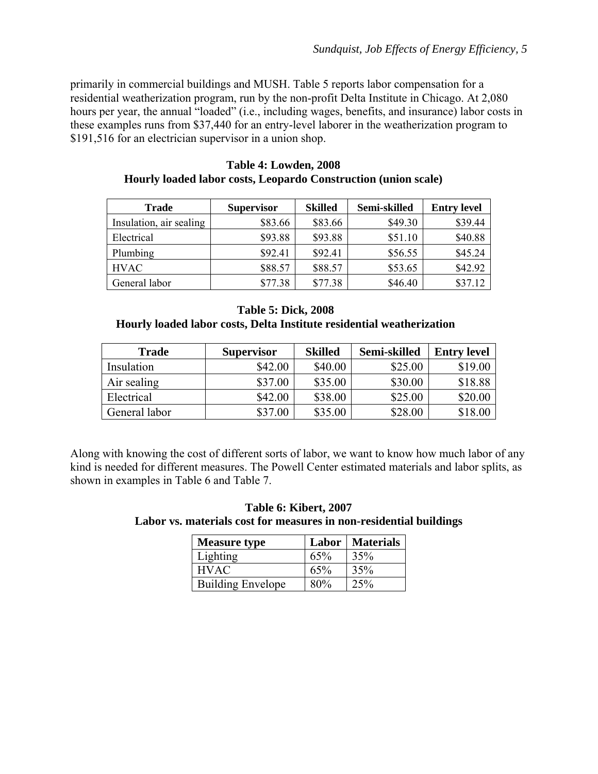primarily in commercial buildings and MUSH. Table 5 reports labor compensation for a residential weatherization program, run by the non-profit Delta Institute in Chicago. At 2,080 hours per year, the annual "loaded" (i.e., including wages, benefits, and insurance) labor costs in these examples runs from \$37,440 for an entry-level laborer in the weatherization program to \$191,516 for an electrician supervisor in a union shop.

| <b>Trade</b>            | <b>Supervisor</b> | <b>Skilled</b> | Semi-skilled | <b>Entry level</b> |
|-------------------------|-------------------|----------------|--------------|--------------------|
| Insulation, air sealing | \$83.66           | \$83.66        | \$49.30      | \$39.44            |
| Electrical              | \$93.88           | \$93.88        | \$51.10      | \$40.88            |
| Plumbing                | \$92.41           | \$92.41        | \$56.55      | \$45.24            |
| <b>HVAC</b>             | \$88.57           | \$88.57        | \$53.65      | \$42.92            |
| General labor           | \$77.38           | \$77.38        | \$46.40      | \$37.12            |

**Table 4: Lowden, 2008 Hourly loaded labor costs, Leopardo Construction (union scale)** 

### **Table 5: Dick, 2008**

**Hourly loaded labor costs, Delta Institute residential weatherization** 

| <b>Trade</b>  | <b>Supervisor</b> | <b>Skilled</b> | Semi-skilled | <b>Entry level</b> |
|---------------|-------------------|----------------|--------------|--------------------|
| Insulation    | \$42.00           | \$40.00        | \$25.00      | \$19.00            |
| Air sealing   | \$37.00           | \$35.00        | \$30.00      | \$18.88            |
| Electrical    | \$42.00           | \$38.00        | \$25.00      | \$20.00            |
| General labor | \$37.00           | \$35.00        | \$28.00      | \$18.00            |

Along with knowing the cost of different sorts of labor, we want to know how much labor of any kind is needed for different measures. The Powell Center estimated materials and labor splits, as shown in examples in Table 6 and Table 7.

| Table 6: Kibert, 2007                                              |  |
|--------------------------------------------------------------------|--|
| Labor vs. materials cost for measures in non-residential buildings |  |

| <b>Measure type</b>      | Labor | Materials |
|--------------------------|-------|-----------|
| Lighting                 | 65%   | 35%       |
| <b>HVAC</b>              | 65%   | 35%       |
| <b>Building Envelope</b> | 80%   | 25%       |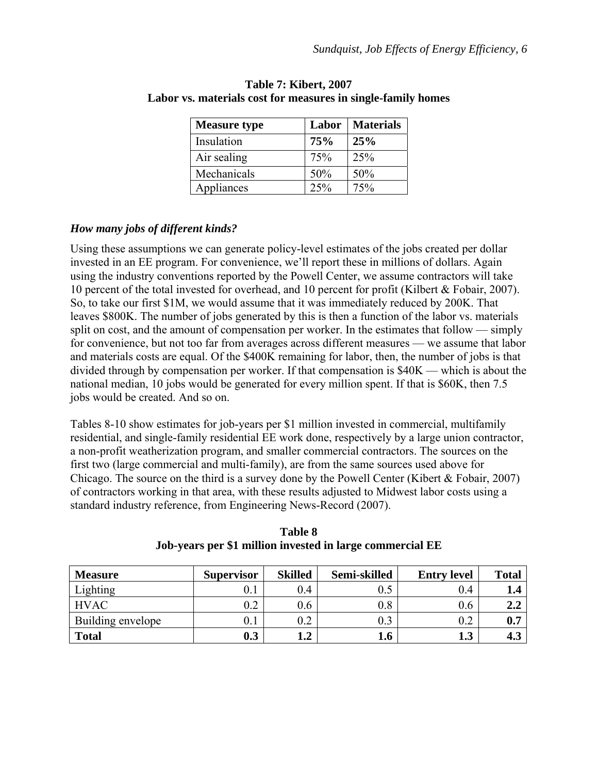| <b>Measure type</b> | Labor | <b>Materials</b> |
|---------------------|-------|------------------|
| Insulation          | 75%   | 25%              |
| Air sealing         | 75%   | 25%              |
| Mechanicals         | 50%   | 50%              |
| Appliances          | 25%   | 75%              |

### **Table 7: Kibert, 2007 Labor vs. materials cost for measures in single-family homes**

# *How many jobs of different kinds?*

Using these assumptions we can generate policy-level estimates of the jobs created per dollar invested in an EE program. For convenience, we'll report these in millions of dollars. Again using the industry conventions reported by the Powell Center, we assume contractors will take 10 percent of the total invested for overhead, and 10 percent for profit (Kilbert & Fobair, 2007). So, to take our first \$1M, we would assume that it was immediately reduced by 200K. That leaves \$800K. The number of jobs generated by this is then a function of the labor vs. materials split on cost, and the amount of compensation per worker. In the estimates that follow — simply for convenience, but not too far from averages across different measures — we assume that labor and materials costs are equal. Of the \$400K remaining for labor, then, the number of jobs is that divided through by compensation per worker. If that compensation is \$40K — which is about the national median, 10 jobs would be generated for every million spent. If that is \$60K, then 7.5 jobs would be created. And so on.

Tables 8-10 show estimates for job-years per \$1 million invested in commercial, multifamily residential, and single-family residential EE work done, respectively by a large union contractor, a non-profit weatherization program, and smaller commercial contractors. The sources on the first two (large commercial and multi-family), are from the same sources used above for Chicago. The source on the third is a survey done by the Powell Center (Kibert & Fobair, 2007) of contractors working in that area, with these results adjusted to Midwest labor costs using a standard industry reference, from Engineering News-Record (2007).

| <b>Measure</b>    | <b>Supervisor</b> | <b>Skilled</b> | Semi-skilled | <b>Entry level</b> | <b>Total</b> |
|-------------------|-------------------|----------------|--------------|--------------------|--------------|
| Lighting          |                   | 0.4            |              | 0.4                | 1.4          |
| <b>HVAC</b>       | $0.2\,$           | 0.6            | 0.8          | 0.6                | 2.2          |
| Building envelope |                   | $0.2\,$        |              | $0.2\,$            | 0.7          |
| <b>Total</b>      | 0.3               | 1.2            | 1.6          | 1.3                | 4.3          |

**Table 8 Job-years per \$1 million invested in large commercial EE**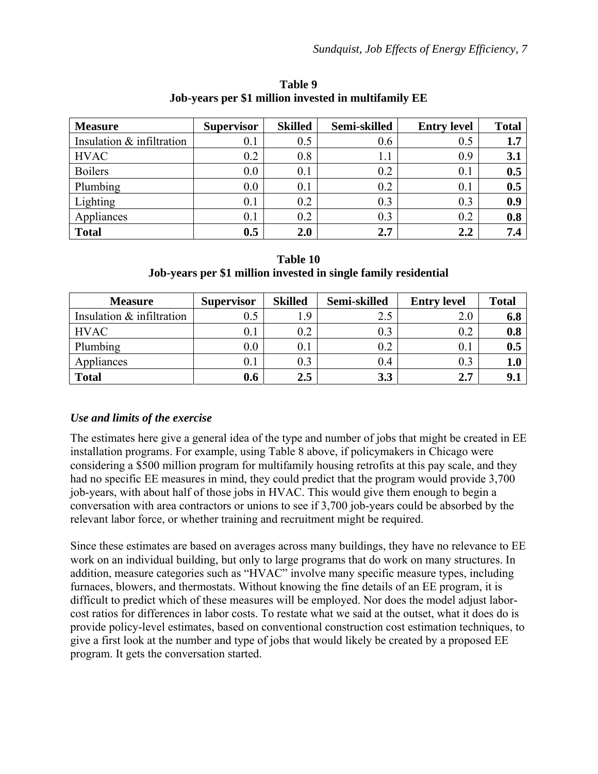| <b>Measure</b>            | <b>Supervisor</b> | <b>Skilled</b> | Semi-skilled | <b>Entry level</b> | <b>Total</b> |
|---------------------------|-------------------|----------------|--------------|--------------------|--------------|
| Insulation & infiltration | 0.1               | 0.5            | 0.6          | 0.5                | 1.7          |
| <b>HVAC</b>               | 0.2               | 0.8            | 1.1          | 0.9                | 3.1          |
| <b>Boilers</b>            | 0.0               | 0.1            | 0.2          | 0.1                | 0.5          |
| Plumbing                  | 0.0               | 0.1            | 0.2          | 0.1                | 0.5          |
| Lighting                  | 0.1               | 0.2            | 0.3          | 0.3                | 0.9          |
| Appliances                | 0.1               | 0.2            | 0.3          | 0.2                | 0.8          |
| <b>Total</b>              | 0.5               | 2.0            | 2.7          | 2.2                | 7.4          |

**Table 9 Job-years per \$1 million invested in multifamily EE** 

| Table 10                                                        |
|-----------------------------------------------------------------|
| Job-years per \$1 million invested in single family residential |

| <b>Measure</b>            | <b>Supervisor</b> | <b>Skilled</b> | Semi-skilled | <b>Entry level</b> | <b>Total</b> |
|---------------------------|-------------------|----------------|--------------|--------------------|--------------|
| Insulation & infiltration |                   | 9.             | 2.5          | 2.0                | 6.8          |
| <b>HVAC</b>               | $0.1\,$           | 0.2            | 0.3          | 0.2                | 0.8          |
| Plumbing                  | $0.0\,$           | 0.1            | $0.2\,$      | $0.1\,$            | 0.5          |
| Appliances                | $0.1\,$           | 0.3            | 0.4          | 0.3                | 1.0          |
| <b>Total</b>              | 0.6               | 2.5            | 3.3          | 2.7                |              |

# *Use and limits of the exercise*

The estimates here give a general idea of the type and number of jobs that might be created in EE installation programs. For example, using Table 8 above, if policymakers in Chicago were considering a \$500 million program for multifamily housing retrofits at this pay scale, and they had no specific EE measures in mind, they could predict that the program would provide 3,700 job-years, with about half of those jobs in HVAC. This would give them enough to begin a conversation with area contractors or unions to see if 3,700 job-years could be absorbed by the relevant labor force, or whether training and recruitment might be required.

Since these estimates are based on averages across many buildings, they have no relevance to EE work on an individual building, but only to large programs that do work on many structures. In addition, measure categories such as "HVAC" involve many specific measure types, including furnaces, blowers, and thermostats. Without knowing the fine details of an EE program, it is difficult to predict which of these measures will be employed. Nor does the model adjust laborcost ratios for differences in labor costs. To restate what we said at the outset, what it does do is provide policy-level estimates, based on conventional construction cost estimation techniques, to give a first look at the number and type of jobs that would likely be created by a proposed EE program. It gets the conversation started.